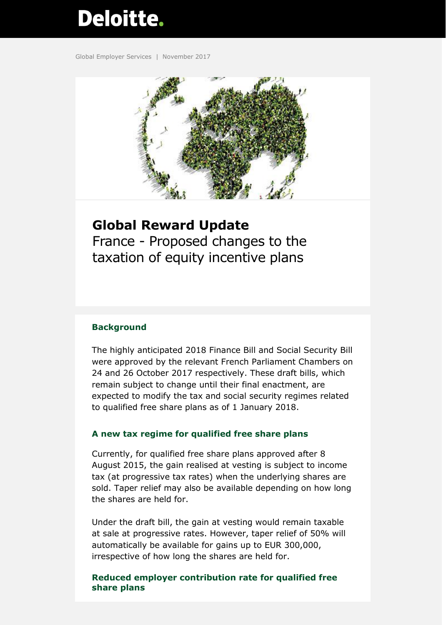# Deloitte.

Global Employer Services | November 2017



## **Global Reward Update**

France - Proposed changes to the taxation of equity incentive plans

### **Background**

The highly anticipated 2018 Finance Bill and Social Security Bill were approved by the relevant French Parliament Chambers on 24 and 26 October 2017 respectively. These draft bills, which remain subject to change until their final enactment, are expected to modify the tax and social security regimes related to qualified free share plans as of 1 January 2018.

#### **A new tax regime for qualified free share plans**

Currently, for qualified free share plans approved after 8 August 2015, the gain realised at vesting is subject to income tax (at progressive tax rates) when the underlying shares are sold. Taper relief may also be available depending on how long the shares are held for.

Under the draft bill, the gain at vesting would remain taxable at sale at progressive rates. However, taper relief of 50% will automatically be available for gains up to EUR 300,000, irrespective of how long the shares are held for.

**Reduced employer contribution rate for qualified free share plans**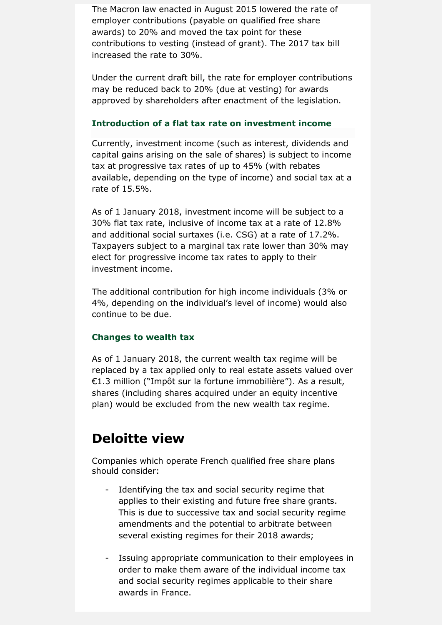The Macron law enacted in August 2015 lowered the rate of employer contributions (payable on qualified free share awards) to 20% and moved the tax point for these contributions to vesting (instead of grant). The 2017 tax bill increased the rate to 30%.

Under the current draft bill, the rate for employer contributions may be reduced back to 20% (due at vesting) for awards approved by shareholders after enactment of the legislation.

#### **Introduction of a flat tax rate on investment income**

Currently, investment income (such as interest, dividends and capital gains arising on the sale of shares) is subject to income tax at progressive tax rates of up to 45% (with rebates available, depending on the type of income) and social tax at a rate of 15.5%.

As of 1 January 2018, investment income will be subject to a 30% flat tax rate, inclusive of income tax at a rate of 12.8% and additional social surtaxes (i.e. CSG) at a rate of 17.2%. Taxpayers subject to a marginal tax rate lower than 30% may elect for progressive income tax rates to apply to their investment income.

The additional contribution for high income individuals (3% or 4%, depending on the individual's level of income) would also continue to be due.

#### **Changes to wealth tax**

As of 1 January 2018, the current wealth tax regime will be replaced by a tax applied only to real estate assets valued over €1.3 million ("Impôt sur la fortune immobilière"). As a result, shares (including shares acquired under an equity incentive plan) would be excluded from the new wealth tax regime.

## **Deloitte view**

Companies which operate French qualified free share plans should consider:

- Identifying the tax and social security regime that applies to their existing and future free share grants. This is due to successive tax and social security regime amendments and the potential to arbitrate between several existing regimes for their 2018 awards;
- Issuing appropriate communication to their employees in order to make them aware of the individual income tax and social security regimes applicable to their share awards in France.